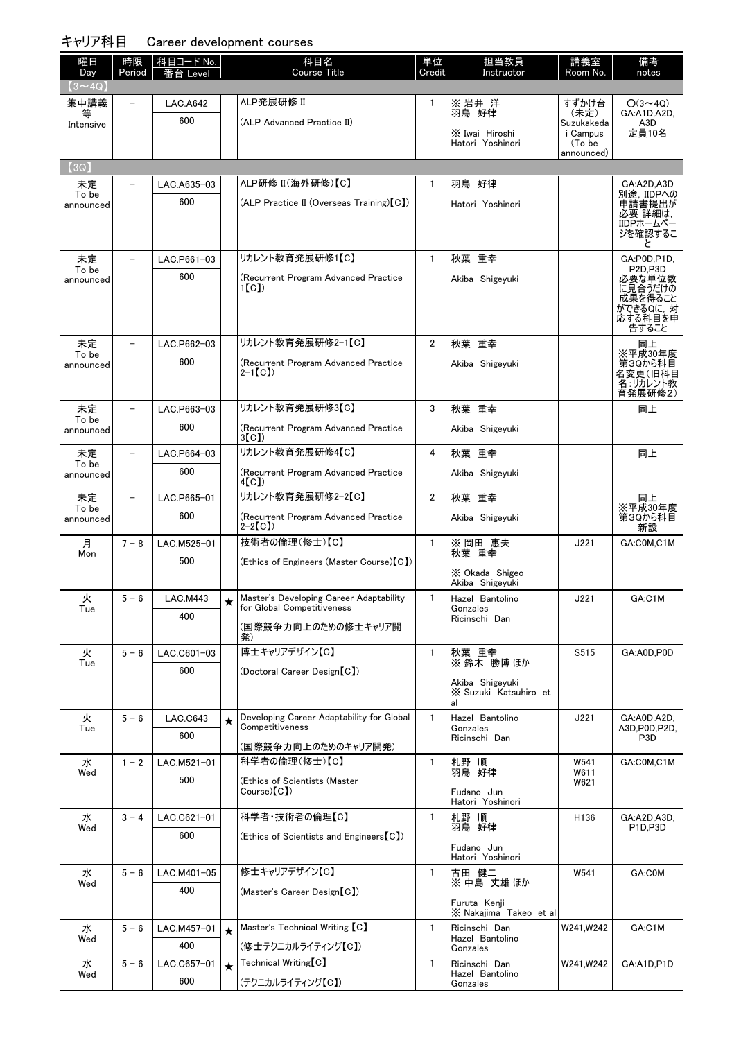| 曜日                    | 時限      | 科目コード No.       |         | 科目名                                                          | 単位             | 担当教員                                     | 講義室                  | 備考                               |
|-----------------------|---------|-----------------|---------|--------------------------------------------------------------|----------------|------------------------------------------|----------------------|----------------------------------|
| Day                   | Period  | .evel           |         | <b>Course Title</b>                                          | Credit         | Instructor                               | Room No.             | notes                            |
| $(3 \sim 4Q)$<br>集中講義 |         | <b>LAC.A642</b> |         | ALP発展研修 II                                                   | 1              | ※ 岩井 洋                                   | すずかけ台                | $O(3 \sim 4Q)$                   |
|                       |         | 600             |         | (ALP Advanced Practice II)                                   |                | 羽鳥 好律                                    | (未定)<br>Suzukakeda   | GA:A1D.A2D.<br>A3D               |
| Intensive             |         |                 |         |                                                              |                | X Iwai Hiroshi                           | i Campus             | 定員10名                            |
|                       |         |                 |         |                                                              |                | Hatori Yoshinori                         | (To be<br>announced) |                                  |
| (3Q)                  |         |                 |         |                                                              |                |                                          |                      |                                  |
| 未定<br>To be           |         | LAC.A635-03     |         | ALP研修 II(海外研修)【C】                                            | 1              | 羽鳥 好律                                    |                      | GA:A2D,A3D<br>別途, IIDPへの         |
| announced             |         | 600             |         | (ALP Practice II (Overseas Training) [C])                    |                | Hatori Yoshinori                         |                      | 申請書提出が<br>必要 詳細は.                |
|                       |         |                 |         |                                                              |                |                                          |                      | IIDPホームペー                        |
|                       |         |                 |         |                                                              |                |                                          |                      | ジを確認するこ<br>と                     |
| 未定                    |         | LAC.P661-03     |         | リカレント教育発展研修1【C】                                              | $\mathbf{1}$   | 秋葉 重幸                                    |                      | GA:P0D,P1D,                      |
| To be<br>announced    |         | 600             |         | (Recurrent Program Advanced Practice                         |                | Akiba Shigeyuki                          |                      | P <sub>2D.P3D</sub><br>必要な単位数    |
|                       |         |                 |         | 1(C)                                                         |                |                                          |                      | に見合うだけの<br>成果を得ること               |
|                       |         |                 |         |                                                              |                |                                          |                      | ができるQに, 対<br>応する科目を申             |
|                       |         |                 |         |                                                              |                |                                          |                      | 告すること                            |
| 未定<br>To be           |         | LAC.P662-03     |         | リカレント教育発展研修2-1【C】                                            | $\overline{2}$ | 秋葉 重幸                                    |                      | 同上<br>※平成30年度                    |
| announced             |         | 600             |         | (Recurrent Program Advanced Practice<br>$2-1$ [C])           |                | Akiba Shigeyuki                          |                      | 第3Qから科目<br>名変更(旧科目               |
|                       |         |                 |         |                                                              |                |                                          |                      | 名:リカレント教<br>育発展研修2)              |
| 未定                    |         | LAC.P663-03     |         | リカレント教育発展研修3【C】                                              | 3              | 秋葉 重幸                                    |                      | 同上                               |
| To be<br>announced    |         | 600             |         | (Recurrent Program Advanced Practice                         |                | Akiba Shigeyuki                          |                      |                                  |
|                       |         |                 |         | 3(C)                                                         |                |                                          |                      |                                  |
| 未定<br>To be           |         | LAC.P664-03     |         | リカレント教育発展研修4【C】                                              | 4              | 秋葉 重幸                                    |                      | 同上                               |
| announced             |         | 600             |         | (Recurrent Program Advanced Practice<br>4[C])                |                | Akiba Shigeyuki                          |                      |                                  |
| 未定                    |         | LAC.P665-01     |         | リカレント教育発展研修2-2【C】                                            | $\overline{2}$ | 秋葉 重幸                                    |                      | 同上                               |
| To be<br>announced    |         | 600             |         | (Recurrent Program Advanced Practice                         |                | Akiba Shigeyuki                          |                      | ※平成30年度<br>第3Qから科目               |
| 月                     | $7 - 8$ | LAC.M525-01     |         | $2-2[CI]$<br>技術者の倫理(修士)【C】                                   | $\mathbf{1}$   | ※ 岡田 惠夫                                  | J221                 | 新設<br>GA:COM,C1M                 |
| Mon                   |         | 500             |         | (Ethics of Engineers (Master Course) [C])                    |                | 秋葉 重幸                                    |                      |                                  |
|                       |         |                 |         |                                                              |                | X Okada Shigeo                           |                      |                                  |
| 火                     | $5 - 6$ | <b>LAC.M443</b> | ↞       | Master's Developing Career Adaptability                      | $\mathbf{1}$   | Akiba Shigeyuki<br>Hazel Bantolino       | J221                 | GA:C1M                           |
| Tue                   |         | 400             |         | for Global Competitiveness                                   |                | Gonzales<br>Ricinschi Dan                |                      |                                  |
|                       |         |                 |         | (国際競争力向上のための修士キャリア開<br>発)                                    |                |                                          |                      |                                  |
| 火                     | $5 - 6$ | LAC.C601-03     |         | 博士キャリアデザイン【C】                                                | $\mathbf{1}$   | 秋葉 重幸                                    | S515                 | GA:A0D,P0D                       |
| Tue                   |         | 600             |         | (Doctoral Career Design [C])                                 |                | ※鈴木 勝博ほか                                 |                      |                                  |
|                       |         |                 |         |                                                              |                | Akiba Shigevuki<br>X Suzuki Katsuhiro et |                      |                                  |
|                       |         |                 |         |                                                              |                | al                                       |                      |                                  |
| 火<br>Tue              | $5 - 6$ | LAC.C643        | $\star$ | Developing Career Adaptability for Global<br>Competitiveness | $\mathbf{1}$   | Hazel Bantolino<br>Gonzales              | J221                 | GA:A0D.A2D,<br>A3D,P0D,P2D.      |
|                       |         | 600             |         | (国際競争力向上のためのキャリア開発)                                          |                | Ricinschi Dan                            |                      | P <sub>3</sub> D                 |
| 水                     | $1 - 2$ | LAC.M521-01     |         | 科学者の倫理(修士)【C】                                                | $\mathbf{1}$   | 札野 順                                     | W541                 | GA:C0M,C1M                       |
| Wed                   |         | 500             |         | (Ethics of Scientists (Master                                |                | 羽鳥 好律                                    | W611<br>W621         |                                  |
|                       |         |                 |         | Course(C)                                                    |                | Fudano Jun<br>Hatori Yoshinori           |                      |                                  |
| 水                     | $3 - 4$ | LAC.C621-01     |         | 科学者·技術者の倫理【C】                                                | 1              | 札野 順                                     | H <sub>136</sub>     | GA:A2D,A3D,                      |
| Wed                   |         | 600             |         | (Ethics of Scientists and Engineers C)                       |                | 羽鳥 好律                                    |                      | P <sub>1D</sub> ,P <sub>3D</sub> |
|                       |         |                 |         |                                                              |                | Fudano Jun<br>Hatori Yoshinori           |                      |                                  |
| 水                     | $5 - 6$ | LAC.M401-05     |         | 修士キャリアデザイン【C】                                                | $\mathbf{1}$   | 古田 健二                                    | W541                 | GA:C0M                           |
| Wed                   |         | 400             |         | (Master's Career Design [C])                                 |                | ※ 中島 丈雄 ほか                               |                      |                                  |
|                       |         |                 |         |                                                              |                | Furuta Kenii<br>X Nakajima Takeo et al   |                      |                                  |
| 水                     | $5 - 6$ | LAC.M457-01     | $\star$ | Master's Technical Writing [C]                               | $\mathbf{1}$   | Ricinschi Dan                            | W241, W242           | GA:C1M                           |
| Wed                   |         | 400             |         | (修士テクニカルライティング【C】)                                           |                | Hazel Bantolino<br>Gonzales              |                      |                                  |
| 水                     | $5 - 6$ | LAC.C657-01     | $\star$ | $Technical Writing [C]$                                      | $\mathbf{1}$   | Ricinschi Dan                            | W241, W242           | GA:A1D,P1D                       |
| Wed                   |         | 600             |         | (テクニカルライティング【C】)                                             |                | Hazel Bantolino<br>Gonzales              |                      |                                  |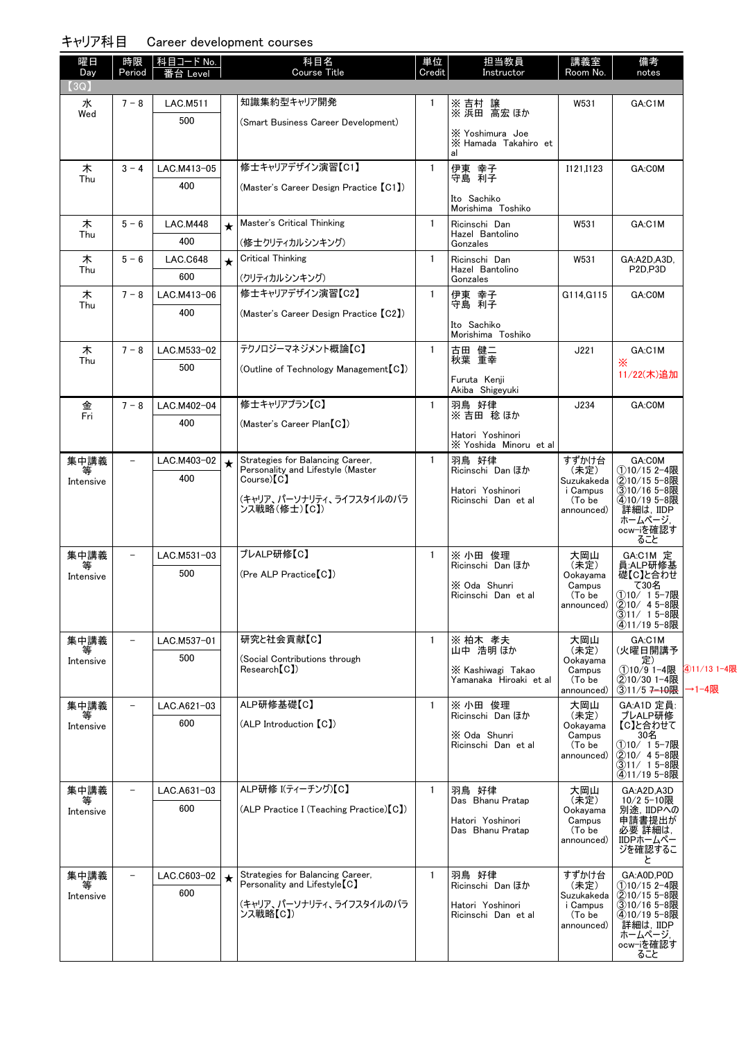| (3Q)<br>知識集約型キャリア開発<br>水<br>$7 - 8$<br><b>LAC.M511</b><br>1<br>※ 吉村 譲<br>※ 浜田 高宏 ほか<br>W531<br>Wed<br>500<br>(Smart Business Career Development)<br>X Yoshimura Joe<br>X Hamada Takahiro et<br>al<br>修士キャリアデザイン演習【C1】<br>木<br>伊東 幸子<br>守島 利子<br>$3 - 4$<br>LAC.M413-05<br>$\mathbf{1}$<br>I121,I123<br>Thu<br>400<br>(Master's Career Design Practice [C1])<br>Ito Sachiko<br>Morishima Toshiko<br>Master's Critical Thinking<br>$\mathbf{1}$<br>$5 - 6$<br><b>LAC.M448</b><br>Ricinschi Dan<br>W531<br>木<br>$\star$<br>Hazel Bantolino<br>Thu<br>400<br>(修士クリティカルシンキング)<br>Gonzales<br>木<br>Critical Thinking<br>$\mathbf{1}$<br>$5 - 6$<br><b>LAC.C648</b><br>Ricinschi Dan<br>W531<br>$\star$<br>Thu<br>Hazel Bantolino<br>600<br>(クリティカルシンキング)<br>Gonzales<br>修士キャリアデザイン演習【C2】<br>$7 - 8$<br>$\mathbf{1}$<br>木<br>伊東 幸子<br>守島 利子<br>LAC.M413-06<br>G114, G115<br>Thu<br>400<br>(Master's Career Design Practice [C2])<br>Ito Sachiko<br>Morishima Toshiko<br>テクノロジーマネジメント概論【C】<br>$\mathbf{1}$<br>古田 健二<br>秋葉 重幸<br>木<br>$7 - 8$<br>LAC.M533-02<br>J221<br>Thu<br>500<br>(Outline of Technology Management [C])<br>Furuta Kenji<br>Akiba Shigeyuki<br>修士キャリアプラン【C】<br>羽鳥 好律<br>LAC.M402-04<br>$\mathbf{1}$<br>J234<br>金<br>$7 - 8$<br>Fri<br>※吉田 稔ほか<br>400<br>(Master's Career Plan [C])<br>Hatori Yoshinori<br>X Yoshida Minoru et al | GA:C1M<br>GA:C0M<br>GA:C1M<br>GA:A2D,A3D,<br>P <sub>2D</sub> ,P <sub>3D</sub><br>GA:C0M<br>GA:C1M<br>×<br>11/22(木)追加<br>GA:C0M<br>GA:C0M |
|---------------------------------------------------------------------------------------------------------------------------------------------------------------------------------------------------------------------------------------------------------------------------------------------------------------------------------------------------------------------------------------------------------------------------------------------------------------------------------------------------------------------------------------------------------------------------------------------------------------------------------------------------------------------------------------------------------------------------------------------------------------------------------------------------------------------------------------------------------------------------------------------------------------------------------------------------------------------------------------------------------------------------------------------------------------------------------------------------------------------------------------------------------------------------------------------------------------------------------------------------------------------------------------------------------------------------------------------|------------------------------------------------------------------------------------------------------------------------------------------|
|                                                                                                                                                                                                                                                                                                                                                                                                                                                                                                                                                                                                                                                                                                                                                                                                                                                                                                                                                                                                                                                                                                                                                                                                                                                                                                                                             |                                                                                                                                          |
|                                                                                                                                                                                                                                                                                                                                                                                                                                                                                                                                                                                                                                                                                                                                                                                                                                                                                                                                                                                                                                                                                                                                                                                                                                                                                                                                             |                                                                                                                                          |
|                                                                                                                                                                                                                                                                                                                                                                                                                                                                                                                                                                                                                                                                                                                                                                                                                                                                                                                                                                                                                                                                                                                                                                                                                                                                                                                                             |                                                                                                                                          |
|                                                                                                                                                                                                                                                                                                                                                                                                                                                                                                                                                                                                                                                                                                                                                                                                                                                                                                                                                                                                                                                                                                                                                                                                                                                                                                                                             |                                                                                                                                          |
|                                                                                                                                                                                                                                                                                                                                                                                                                                                                                                                                                                                                                                                                                                                                                                                                                                                                                                                                                                                                                                                                                                                                                                                                                                                                                                                                             |                                                                                                                                          |
|                                                                                                                                                                                                                                                                                                                                                                                                                                                                                                                                                                                                                                                                                                                                                                                                                                                                                                                                                                                                                                                                                                                                                                                                                                                                                                                                             |                                                                                                                                          |
|                                                                                                                                                                                                                                                                                                                                                                                                                                                                                                                                                                                                                                                                                                                                                                                                                                                                                                                                                                                                                                                                                                                                                                                                                                                                                                                                             |                                                                                                                                          |
|                                                                                                                                                                                                                                                                                                                                                                                                                                                                                                                                                                                                                                                                                                                                                                                                                                                                                                                                                                                                                                                                                                                                                                                                                                                                                                                                             |                                                                                                                                          |
|                                                                                                                                                                                                                                                                                                                                                                                                                                                                                                                                                                                                                                                                                                                                                                                                                                                                                                                                                                                                                                                                                                                                                                                                                                                                                                                                             |                                                                                                                                          |
|                                                                                                                                                                                                                                                                                                                                                                                                                                                                                                                                                                                                                                                                                                                                                                                                                                                                                                                                                                                                                                                                                                                                                                                                                                                                                                                                             |                                                                                                                                          |
|                                                                                                                                                                                                                                                                                                                                                                                                                                                                                                                                                                                                                                                                                                                                                                                                                                                                                                                                                                                                                                                                                                                                                                                                                                                                                                                                             |                                                                                                                                          |
|                                                                                                                                                                                                                                                                                                                                                                                                                                                                                                                                                                                                                                                                                                                                                                                                                                                                                                                                                                                                                                                                                                                                                                                                                                                                                                                                             |                                                                                                                                          |
|                                                                                                                                                                                                                                                                                                                                                                                                                                                                                                                                                                                                                                                                                                                                                                                                                                                                                                                                                                                                                                                                                                                                                                                                                                                                                                                                             |                                                                                                                                          |
|                                                                                                                                                                                                                                                                                                                                                                                                                                                                                                                                                                                                                                                                                                                                                                                                                                                                                                                                                                                                                                                                                                                                                                                                                                                                                                                                             |                                                                                                                                          |
|                                                                                                                                                                                                                                                                                                                                                                                                                                                                                                                                                                                                                                                                                                                                                                                                                                                                                                                                                                                                                                                                                                                                                                                                                                                                                                                                             |                                                                                                                                          |
|                                                                                                                                                                                                                                                                                                                                                                                                                                                                                                                                                                                                                                                                                                                                                                                                                                                                                                                                                                                                                                                                                                                                                                                                                                                                                                                                             |                                                                                                                                          |
|                                                                                                                                                                                                                                                                                                                                                                                                                                                                                                                                                                                                                                                                                                                                                                                                                                                                                                                                                                                                                                                                                                                                                                                                                                                                                                                                             |                                                                                                                                          |
|                                                                                                                                                                                                                                                                                                                                                                                                                                                                                                                                                                                                                                                                                                                                                                                                                                                                                                                                                                                                                                                                                                                                                                                                                                                                                                                                             |                                                                                                                                          |
|                                                                                                                                                                                                                                                                                                                                                                                                                                                                                                                                                                                                                                                                                                                                                                                                                                                                                                                                                                                                                                                                                                                                                                                                                                                                                                                                             |                                                                                                                                          |
|                                                                                                                                                                                                                                                                                                                                                                                                                                                                                                                                                                                                                                                                                                                                                                                                                                                                                                                                                                                                                                                                                                                                                                                                                                                                                                                                             |                                                                                                                                          |
| 集中講義<br>Strategies for Balancing Career,<br>LAC.M403-02<br>羽鳥 好律<br>$\overline{\phantom{a}}$<br>$\mathbf{1}$<br>すずかけ台<br>Personality and Lifestyle (Master<br>Ricinschi Dan ほか<br>(未定)<br>等                                                                                                                                                                                                                                                                                                                                                                                                                                                                                                                                                                                                                                                                                                                                                                                                                                                                                                                                                                                                                                                                                                                                                 | ①10/15 2-4限                                                                                                                              |
| 400<br>$Course)$ $[C]$<br>Suzukakeda<br>Intensive<br>i Campus<br>Hatori Yoshinori                                                                                                                                                                                                                                                                                                                                                                                                                                                                                                                                                                                                                                                                                                                                                                                                                                                                                                                                                                                                                                                                                                                                                                                                                                                           | ②10/15 5-8限<br>310/16 5-8限                                                                                                               |
| (キャリア、パーソナリティ、ライフスタイルのバラ<br>Ricinschi Dan et al<br>(To be<br>ンス戦略(修士)【C】)<br>announced)                                                                                                                                                                                                                                                                                                                                                                                                                                                                                                                                                                                                                                                                                                                                                                                                                                                                                                                                                                                                                                                                                                                                                                                                                                                     | 4)10/19 5-8限<br>詳細は, IIDP                                                                                                                |
|                                                                                                                                                                                                                                                                                                                                                                                                                                                                                                                                                                                                                                                                                                                                                                                                                                                                                                                                                                                                                                                                                                                                                                                                                                                                                                                                             | ホームページ,<br>ocw-iを確認す                                                                                                                     |
|                                                                                                                                                                                                                                                                                                                                                                                                                                                                                                                                                                                                                                                                                                                                                                                                                                                                                                                                                                                                                                                                                                                                                                                                                                                                                                                                             | ること                                                                                                                                      |
| プレALP研修【C】<br>集中講義<br>$\mathbf{1}$<br>※ 小田 俊理<br>大岡山<br>LAC.M531-03<br>Ricinschi Dan ほか<br>(未定)<br>等                                                                                                                                                                                                                                                                                                                                                                                                                                                                                                                                                                                                                                                                                                                                                                                                                                                                                                                                                                                                                                                                                                                                                                                                                                        | GA:C1M 定<br>員:ALP研修基                                                                                                                     |
| 500<br>(Pre ALP Practice [C])<br>Ookayama<br>Intensive<br>X Oda Shunri<br>Campus                                                                                                                                                                                                                                                                                                                                                                                                                                                                                                                                                                                                                                                                                                                                                                                                                                                                                                                                                                                                                                                                                                                                                                                                                                                            | 礎【C】と合わせ<br>て30名                                                                                                                         |
| Ricinschi Dan et al<br>(To be                                                                                                                                                                                                                                                                                                                                                                                                                                                                                                                                                                                                                                                                                                                                                                                                                                                                                                                                                                                                                                                                                                                                                                                                                                                                                                               | ①10/ 15-7限<br>②10/ 45-8限                                                                                                                 |
| announced)                                                                                                                                                                                                                                                                                                                                                                                                                                                                                                                                                                                                                                                                                                                                                                                                                                                                                                                                                                                                                                                                                                                                                                                                                                                                                                                                  | 311/ 15-8限                                                                                                                               |
| 研究と社会貢献【C】<br>集中講義<br>LAC.M537-01<br>$\mathbf{1}$<br>大岡山<br>$\overline{\phantom{a}}$                                                                                                                                                                                                                                                                                                                                                                                                                                                                                                                                                                                                                                                                                                                                                                                                                                                                                                                                                                                                                                                                                                                                                                                                                                                        | 4)11/19 5-8限<br>GA:C1M                                                                                                                   |
| ※ 柏木 孝夫<br>山中 浩明ほか<br>(未定)<br>等<br>500<br>(Social Contributions through<br>Ookayama<br>Intensive                                                                                                                                                                                                                                                                                                                                                                                                                                                                                                                                                                                                                                                                                                                                                                                                                                                                                                                                                                                                                                                                                                                                                                                                                                            | (火曜日開講予<br>定)                                                                                                                            |
| Research [C])<br>X Kashiwagi Takao<br>Campus                                                                                                                                                                                                                                                                                                                                                                                                                                                                                                                                                                                                                                                                                                                                                                                                                                                                                                                                                                                                                                                                                                                                                                                                                                                                                                | 4011/13 1-4限<br>①10/9 1-4限<br>②10/30 1-4限                                                                                                |
| Yamanaka Hiroaki etal<br>(To be<br>announced)                                                                                                                                                                                                                                                                                                                                                                                                                                                                                                                                                                                                                                                                                                                                                                                                                                                                                                                                                                                                                                                                                                                                                                                                                                                                                               | $(3)11/57 - 10$ 服<br>→1-4限                                                                                                               |
| ALP研修基礎【C】<br>集中講義<br>$\mathbf{1}$<br>※ 小田 俊理<br>大岡山<br>LAC.A621-03<br>$\overline{\phantom{a}}$<br>Ricinschi Dan ほか<br>(未定)<br>等                                                                                                                                                                                                                                                                                                                                                                                                                                                                                                                                                                                                                                                                                                                                                                                                                                                                                                                                                                                                                                                                                                                                                                                                            | GA:A1D 定員:<br>プレALP研修                                                                                                                    |
| 600<br>(ALP Introduction (C))<br>Ookayama<br>Intensive<br>X Oda Shunri<br>Campus                                                                                                                                                                                                                                                                                                                                                                                                                                                                                                                                                                                                                                                                                                                                                                                                                                                                                                                                                                                                                                                                                                                                                                                                                                                            | 【C】と合わせて<br>30名                                                                                                                          |
| Ricinschi Dan et al<br>(To be                                                                                                                                                                                                                                                                                                                                                                                                                                                                                                                                                                                                                                                                                                                                                                                                                                                                                                                                                                                                                                                                                                                                                                                                                                                                                                               | ①10/ 15-7限<br>②10/ 45-8限                                                                                                                 |
| announced)                                                                                                                                                                                                                                                                                                                                                                                                                                                                                                                                                                                                                                                                                                                                                                                                                                                                                                                                                                                                                                                                                                                                                                                                                                                                                                                                  | ③11/ 15-8限                                                                                                                               |
| ALP研修 I(ティーチング)【C】<br>$\mathbf{1}$<br>羽鳥 好律<br>集中講義<br>LAC.A631-03<br>大岡山<br>$\overline{\phantom{0}}$                                                                                                                                                                                                                                                                                                                                                                                                                                                                                                                                                                                                                                                                                                                                                                                                                                                                                                                                                                                                                                                                                                                                                                                                                                       | (4)11/19 5-8限<br>GA:A2D,A3D                                                                                                              |
| Das Bhanu Pratap<br>(未定)<br>600<br>(ALP Practice I (Teaching Practice) [C])<br>Ookayama<br>Intensive                                                                                                                                                                                                                                                                                                                                                                                                                                                                                                                                                                                                                                                                                                                                                                                                                                                                                                                                                                                                                                                                                                                                                                                                                                        | 10/2 5-10限<br>別途, IIDPへの                                                                                                                 |
| Hatori Yoshinori<br>Campus                                                                                                                                                                                                                                                                                                                                                                                                                                                                                                                                                                                                                                                                                                                                                                                                                                                                                                                                                                                                                                                                                                                                                                                                                                                                                                                  | 申請書提出が                                                                                                                                   |
| Das Bhanu Pratap<br>(To be<br>announced)                                                                                                                                                                                                                                                                                                                                                                                                                                                                                                                                                                                                                                                                                                                                                                                                                                                                                                                                                                                                                                                                                                                                                                                                                                                                                                    | 必要 詳細は,<br>IIDPホームペー                                                                                                                     |
|                                                                                                                                                                                                                                                                                                                                                                                                                                                                                                                                                                                                                                                                                                                                                                                                                                                                                                                                                                                                                                                                                                                                                                                                                                                                                                                                             | ジを確認するこ<br>と                                                                                                                             |
| Strategies for Balancing Career.<br>羽鳥 好律<br>集中講義<br>$\mathbf{1}$<br>すずかけ台<br>$\qquad \qquad -$<br>LAC.C603-02<br>Personality and Lifestyle <sup>[C]</sup>                                                                                                                                                                                                                                                                                                                                                                                                                                                                                                                                                                                                                                                                                                                                                                                                                                                                                                                                                                                                                                                                                                                                                                                  | GA:A0D,P0D                                                                                                                               |
| Ricinschi Dan ほか<br>(未定)<br>等<br>600<br>Suzukakeda<br>Intensive                                                                                                                                                                                                                                                                                                                                                                                                                                                                                                                                                                                                                                                                                                                                                                                                                                                                                                                                                                                                                                                                                                                                                                                                                                                                             | ①10/15 2-4限<br>②10/15 5-8限                                                                                                               |
| (キャリア、パーソナリティ、ライフスタイルのバラ<br>Hatori Yoshinori<br>i Campus<br>ンス戦略【C】)<br>Ricinschi Dan et al<br>(To be                                                                                                                                                                                                                                                                                                                                                                                                                                                                                                                                                                                                                                                                                                                                                                                                                                                                                                                                                                                                                                                                                                                                                                                                                                       | 310/16 5-8限<br>4010/19 5-8限                                                                                                              |
| announced)                                                                                                                                                                                                                                                                                                                                                                                                                                                                                                                                                                                                                                                                                                                                                                                                                                                                                                                                                                                                                                                                                                                                                                                                                                                                                                                                  | 詳細は,IIDP<br>ホームページ,                                                                                                                      |
|                                                                                                                                                                                                                                                                                                                                                                                                                                                                                                                                                                                                                                                                                                                                                                                                                                                                                                                                                                                                                                                                                                                                                                                                                                                                                                                                             | ocw-iを確認す<br>ること                                                                                                                         |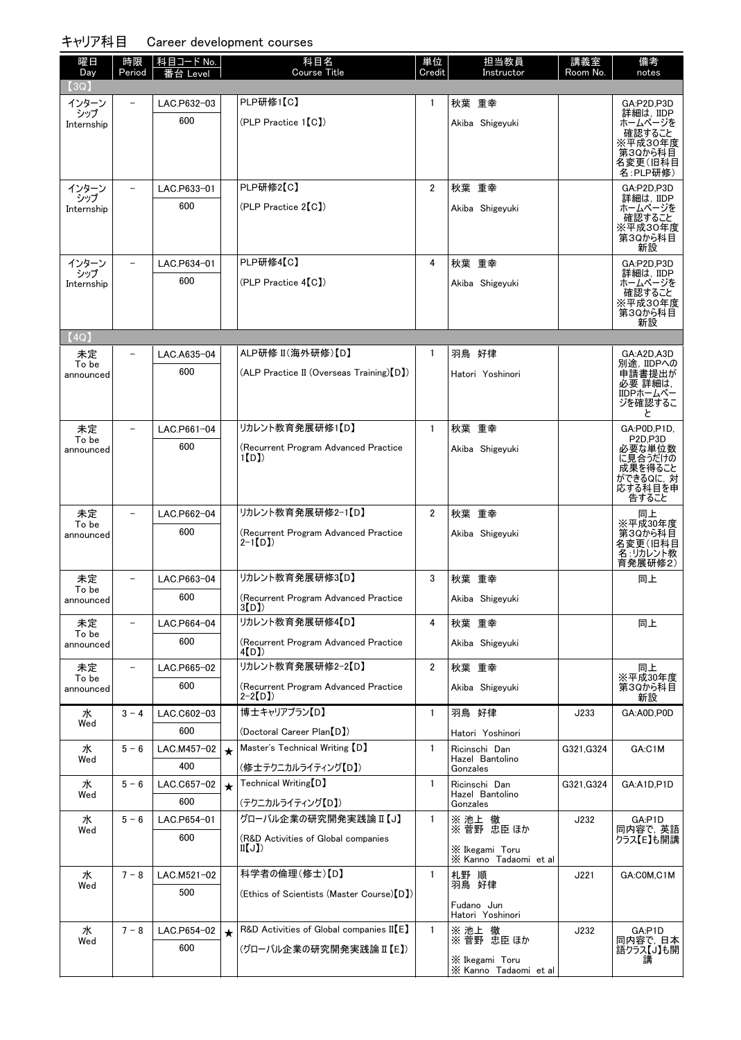| 曜日<br>Day          | 時限<br>Period | 科目コード No.<br>番台 Level |         | 科目名<br><b>Course Title</b>                       | 単位<br>Credit   | 担当教員<br>Instructor            | 講義室<br>Room No. | 備考<br>notes                   |
|--------------------|--------------|-----------------------|---------|--------------------------------------------------|----------------|-------------------------------|-----------------|-------------------------------|
| (3Q)               |              |                       |         |                                                  |                |                               |                 |                               |
| インターン<br>シップ       |              | LAC.P632-03           |         | PLP研修1【C】                                        | $\mathbf{1}$   | 秋葉 重幸                         |                 | GA:P2D,P3D<br>詳細は, IIDP       |
| Internship         |              | 600                   |         | $(PLP$ Practice $1[CI]$                          |                | Akiba Shigeyuki               |                 | ホームページを                       |
|                    |              |                       |         |                                                  |                |                               |                 | 確認すること<br>※平成30年度             |
|                    |              |                       |         |                                                  |                |                               |                 | 第3Qから科目<br>名変更(旧科目            |
|                    |              |                       |         |                                                  |                |                               |                 | 名:PLP研修)                      |
| インターン<br>シップ       |              | LAC.P633-01           |         | PLP研修2【C】                                        | $\overline{2}$ | 秋葉 重幸                         |                 | GA:P2D,P3D<br>詳細は, IIDP       |
| Internship         |              | 600                   |         | (PLP Practice 2[C])                              |                | Akiba Shigeyuki               |                 | ホームページを<br>確認すること             |
|                    |              |                       |         |                                                  |                |                               |                 | ※平成30年度                       |
|                    |              |                       |         |                                                  |                |                               |                 | 第3Qから科目<br>新設                 |
| インターン              |              | LAC.P634-01           |         | PLP研修4【C】                                        | 4              | 秋葉 重幸                         |                 | GA:P2D,P3D                    |
| シップ<br>Internship  |              | 600                   |         | $(PLP$ Practice $4[C])$                          |                | Akiba Shigeyuki               |                 | 詳細は,IIDP<br>ホームページを           |
|                    |              |                       |         |                                                  |                |                               |                 | 確認すること<br>※平成30年度             |
|                    |              |                       |         |                                                  |                |                               |                 | 第3Qから科目<br>新設                 |
| (4Q)               |              |                       |         |                                                  |                |                               |                 |                               |
| 未定                 |              | LAC.A635-04           |         | ALP研修 II(海外研修)【D】                                | $\mathbf{1}$   | 羽鳥 好律                         |                 | GA:A2D,A3D                    |
| To be<br>announced |              | 600                   |         | (ALP Practice II (Overseas Training) [D])        |                | Hatori Yoshinori              |                 | 別途, IIDPへの<br>申請書提出が          |
|                    |              |                       |         |                                                  |                |                               |                 | 必要 詳細は,<br>IIDPホームペー          |
|                    |              |                       |         |                                                  |                |                               |                 | ジを確認するこ                       |
| 未定                 |              | LAC.P661-04           |         | リカレント教育発展研修1【D】                                  | $\mathbf{1}$   | 秋葉 重幸                         |                 | と<br>GA:P0D,P1D,              |
| To be              |              | 600                   |         | (Recurrent Program Advanced Practice             |                |                               |                 | P <sub>2D.P3D</sub><br>必要な単位数 |
| announced          |              |                       |         | 1[D]                                             |                | Akiba Shigeyuki               |                 | に見合うだけの                       |
|                    |              |                       |         |                                                  |                |                               |                 | 成果を得ること<br>ができるQに, 対          |
|                    |              |                       |         |                                                  |                |                               |                 | 応する科目を申<br>告すること              |
| 未定                 |              | LAC.P662-04           |         | リカレント教育発展研修2-1【D】                                | $\overline{2}$ | 秋葉 重幸                         |                 | 同上                            |
| To be<br>announced |              | 600                   |         | (Recurrent Program Advanced Practice             |                | Akiba Shigeyuki               |                 | ※平成30年度<br>第3Qから科目            |
|                    |              |                       |         | $2-1$ [D])                                       |                |                               |                 | 名変更(旧科目<br>名:リカレント教           |
|                    |              |                       |         |                                                  |                |                               |                 | 育発展研修2)                       |
| 未定<br>To be        |              | LAC.P663-04           |         | リカレント教育発展研修3【D】                                  | 3              | 秋葉 重幸                         |                 | 同上                            |
| announced          |              | 600                   |         | (Recurrent Program Advanced Practice<br>3(D)     |                | Akiba Shigeyuki               |                 |                               |
| 未定                 |              | LAC.P664-04           |         | リカレント教育発展研修4【D】                                  | 4              | 秋葉 重幸                         |                 | 同上                            |
| To be<br>announced |              | 600                   |         | (Recurrent Program Advanced Practice             |                | Akiba Shigeyuki               |                 |                               |
|                    |              |                       |         | 4[D])                                            |                |                               |                 |                               |
| 未定<br>To be        |              | LAC.P665-02           |         | リカレント教育発展研修2-2【D】                                | $\overline{2}$ | 秋葉 重幸                         |                 | 同上<br>※平成30年度                 |
| announced          |              | 600                   |         | (Recurrent Program Advanced Practice<br>$2-2[D]$ |                | Akiba Shigeyuki               |                 | 第3Qから科目<br>新設                 |
| 水                  | $3 - 4$      | LAC.C602-03           |         | 博士キャリアプラン【D】                                     | 1              | 羽鳥 好律                         | J233            | GA:A0D,P0D                    |
| Wed                |              | 600                   |         | (Doctoral Career Plan [D])                       |                | Hatori Yoshinori              |                 |                               |
| 水                  | $5 - 6$      | LAC.M457-02           | $\star$ | Master's Technical Writing [D]                   | 1              | Ricinschi Dan                 | G321, G324      | GA:C1M                        |
| Wed                |              | 400                   |         | (修士テクニカルライティング【D】)                               |                | Hazel Bantolino<br>Gonzales   |                 |                               |
| 水                  | $5 - 6$      | LAC.C657-02           | $\star$ | Technical Writing [D]                            | $\mathbf{1}$   | Ricinschi Dan                 | G321, G324      | GA:A1D,P1D                    |
| Wed                |              | 600                   |         | (テクニカルライティング【D】)                                 |                | Hazel Bantolino<br>Gonzales   |                 |                               |
| 水                  | $5 - 6$      | LAC.P654-01           |         | グローバル企業の研究開発実践論 II 【J】                           | $\mathbf{1}$   | ※ 池上 徹                        | J232            | GA:P1D                        |
| Wed                |              | 600                   |         | (R&D Activities of Global companies              |                | ※ 菅野 忠臣 ほか                    |                 | 同内容で, 英語<br>クラス【E】も開講         |
|                    |              |                       |         | II(J)                                            |                | $X$ Ikegami Toru              |                 |                               |
| 水                  | $7 - 8$      | LAC.M521-02           |         | 科学者の倫理(修士)【D】                                    | $\mathbf{1}$   | X Kanno Tadaomi et al<br>札野 順 | J221            | GA:COM,C1M                    |
| Wed                |              | 500                   |         | (Ethics of Scientists (Master Course) [D])       |                | 羽鳥 好律                         |                 |                               |
|                    |              |                       |         |                                                  |                | Fudano Jun                    |                 |                               |
| 水                  | $7 - 8$      | LAC.P654-02           |         | R&D Activities of Global companies II [E]        | $\mathbf{1}$   | Hatori Yoshinori<br>※ 池上      | J232            | GA:P1D                        |
| Wed                |              | 600                   | $\star$ | (グローバル企業の研究開発実践論 II 【E】)                         |                | ※ 池上 徹<br>※ 菅野 忠臣ほか           |                 | 同内容で, 日本                      |
|                    |              |                       |         |                                                  |                | X Ikegami Toru                |                 | 語クラス【J】も開<br>講                |
|                    |              |                       |         |                                                  |                | X Kanno Tadaomi et al         |                 |                               |